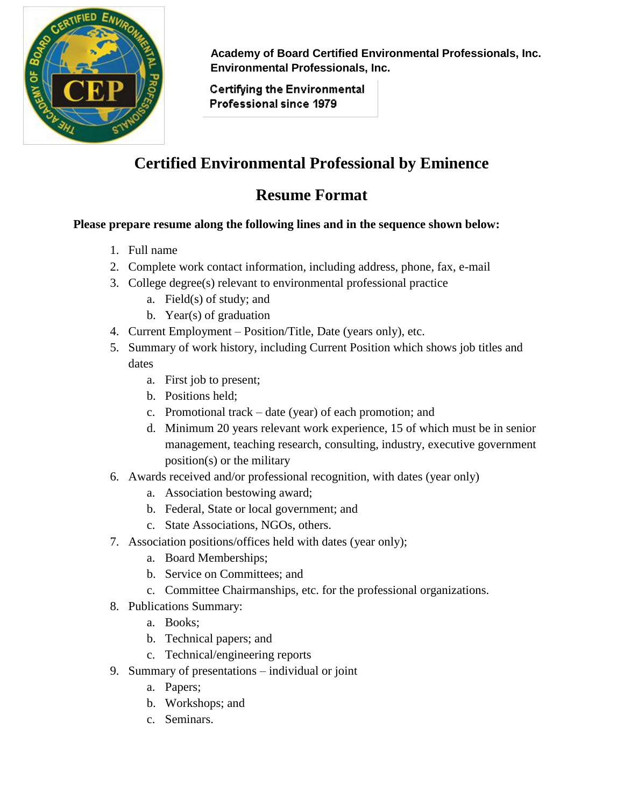

 **Academy of Board Certified Environmental Professionals, Inc. Environmental Professionals, Inc.**

**Certifying the Environmental** Professional since 1979

## **Certified Environmental Professional by Eminence**

## **Resume Format**

## **Please prepare resume along the following lines and in the sequence shown below:**

- 1. Full name
- 2. Complete work contact information, including address, phone, fax, e-mail
- 3. College degree(s) relevant to environmental professional practice
	- a. Field(s) of study; and
	- b. Year(s) of graduation
- 4. Current Employment Position/Title, Date (years only), etc.
- 5. Summary of work history, including Current Position which shows job titles and dates
	- a. First job to present;
	- b. Positions held;
	- c. Promotional track date (year) of each promotion; and
	- d. Minimum 20 years relevant work experience, 15 of which must be in senior management, teaching research, consulting, industry, executive government position(s) or the military
- 6. Awards received and/or professional recognition, with dates (year only)
	- a. Association bestowing award;
	- b. Federal, State or local government; and
	- c. State Associations, NGOs, others.
- 7. Association positions/offices held with dates (year only);
	- a. Board Memberships;
	- b. Service on Committees; and
	- c. Committee Chairmanships, etc. for the professional organizations.
- 8. Publications Summary:
	- a. Books;
	- b. Technical papers; and
	- c. Technical/engineering reports
- 9. Summary of presentations individual or joint
	- a. Papers;
	- b. Workshops; and
	- c. Seminars.